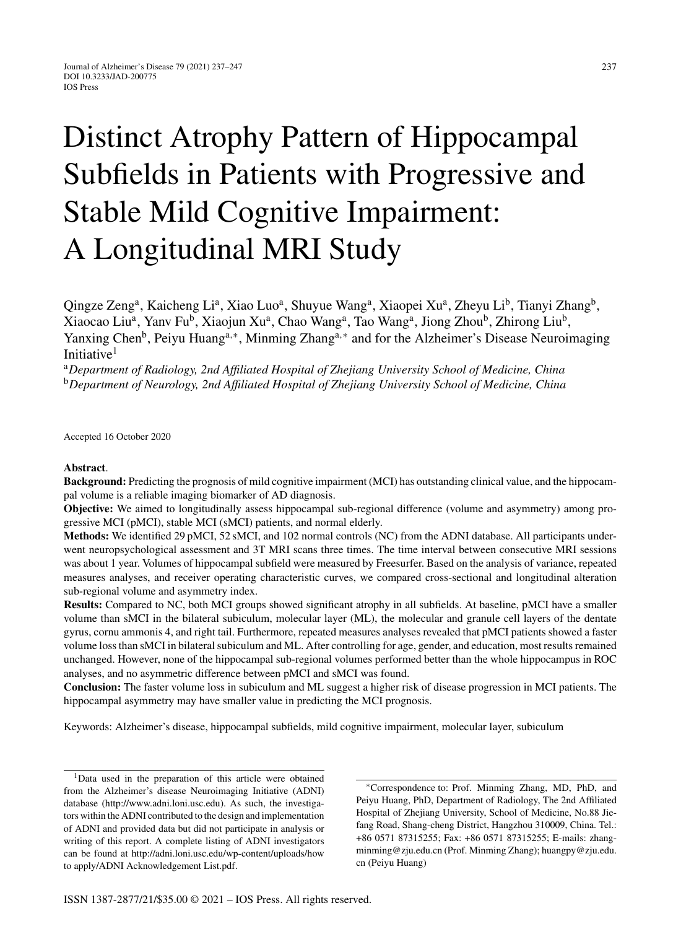# Distinct Atrophy Pattern of Hippocampal Subfields in Patients with Progressive and Stable Mild Cognitive Impairment: A Longitudinal MRI Study

Qingze Zeng<sup>a</sup>, Kaicheng Li<sup>a</sup>, Xiao Luo<sup>a</sup>, Shuyue Wang<sup>a</sup>, Xiaopei Xu<sup>a</sup>, Zheyu Li<sup>b</sup>, Tianyi Zhang<sup>b</sup>, Xiaocao Liu<sup>a</sup>, Yanv Fu<sup>b</sup>, Xiaojun Xu<sup>a</sup>, Chao Wang<sup>a</sup>, Tao Wang<sup>a</sup>, Jiong Zhou<sup>b</sup>, Zhirong Liu<sup>b</sup>, Yanxing Chen<sup>b</sup>, Peiyu Huang<sup>a,∗</sup>, Minming Zhang<sup>a,∗</sup> and for the Alzheimer's Disease Neuroimaging Initiative $1$ 

<sup>a</sup>*Department of Radiology, 2nd Affiliated Hospital of Zhejiang University School of Medicine, China* <sup>b</sup>*Department of Neurology, 2nd Affiliated Hospital of Zhejiang University School of Medicine, China*

Accepted 16 October 2020

## **Abstract**.

**Background:** Predicting the prognosis of mild cognitive impairment (MCI) has outstanding clinical value, and the hippocampal volume is a reliable imaging biomarker of AD diagnosis.

**Objective:** We aimed to longitudinally assess hippocampal sub-regional difference (volume and asymmetry) among progressive MCI (pMCI), stable MCI (sMCI) patients, and normal elderly.

**Methods:** We identified 29 pMCI, 52 sMCI, and 102 normal controls (NC) from the ADNI database. All participants underwent neuropsychological assessment and 3T MRI scans three times. The time interval between consecutive MRI sessions was about 1 year. Volumes of hippocampal subfield were measured by Freesurfer. Based on the analysis of variance, repeated measures analyses, and receiver operating characteristic curves, we compared cross-sectional and longitudinal alteration sub-regional volume and asymmetry index.

**Results:** Compared to NC, both MCI groups showed significant atrophy in all subfields. At baseline, pMCI have a smaller volume than sMCI in the bilateral subiculum, molecular layer (ML), the molecular and granule cell layers of the dentate gyrus, cornu ammonis 4, and right tail. Furthermore, repeated measures analyses revealed that pMCI patients showed a faster volume loss than sMCI in bilateral subiculum and ML. After controlling for age, gender, and education, most results remained unchanged. However, none of the hippocampal sub-regional volumes performed better than the whole hippocampus in ROC analyses, and no asymmetric difference between pMCI and sMCI was found.

**Conclusion:** The faster volume loss in subiculum and ML suggest a higher risk of disease progression in MCI patients. The hippocampal asymmetry may have smaller value in predicting the MCI prognosis.

Keywords: Alzheimer's disease, hippocampal subfields, mild cognitive impairment, molecular layer, subiculum

1Data used in the preparation of this article were obtained from the Alzheimer's disease Neuroimaging Initiative (ADNI) database [\(http://www.adni.loni.usc.edu](http://www.adni.loni.usc.edu)). As such, the investigators within the ADNI contributed to the design and implementation of ADNI and provided data but did not participate in analysis or writing of this report. A complete listing of ADNI investigators can be found at [http://adni.loni.usc.edu/wp-content/uploads/how](http://adni.loni.usc.edu/wp-content/uploads/how to apply/ADNI Acknowledgement List.pdf) to apply/ADNI Acknowledgement List.pdf.

∗Correspondence to: Prof. Minming Zhang, MD, PhD, and Peiyu Huang, PhD, Department of Radiology, The 2nd Affiliated Hospital of Zhejiang University, School of Medicine, No.88 Jiefang Road, Shang-cheng District, Hangzhou 310009, China. Tel.: +86 0571 87315255; Fax: +86 0571 87315255; E-mails: zhangminming@zju.edu.cn (Prof. Minming Zhang); huangpy@zju.edu. cn (Peiyu Huang)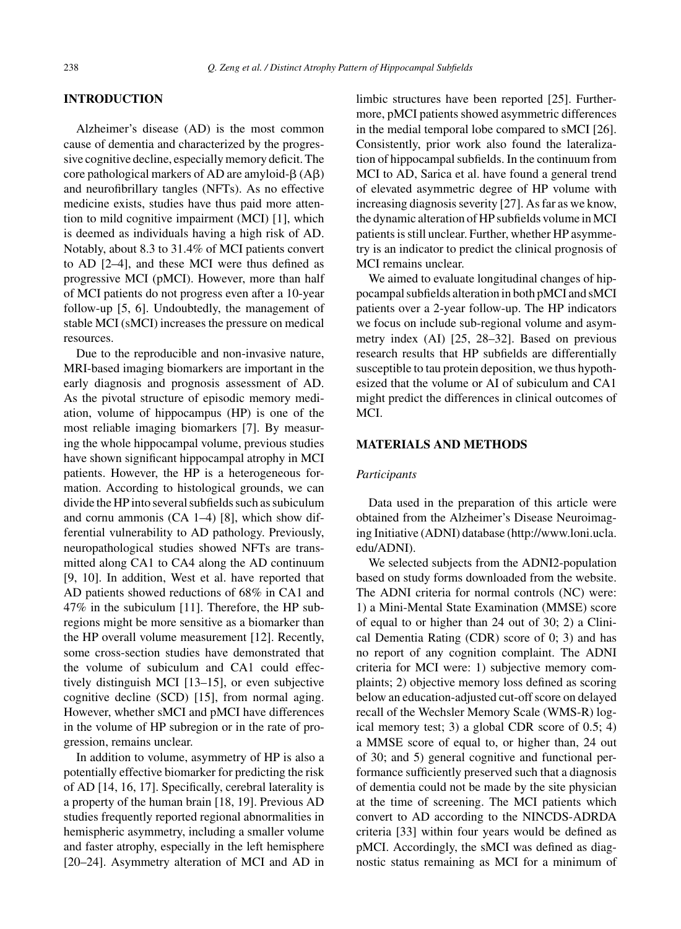# **INTRODUCTION**

Alzheimer's disease (AD) is the most common cause of dementia and characterized by the progressive cognitive decline, especially memory deficit. The core pathological markers of AD are amyloid- $\beta$  (A $\beta$ ) and neurofibrillary tangles (NFTs). As no effective medicine exists, studies have thus paid more attention to mild cognitive impairment (MCI) [1], which is deemed as individuals having a high risk of AD. Notably, about 8.3 to 31.4% of MCI patients convert to AD [2–4], and these MCI were thus defined as progressive MCI (pMCI). However, more than half of MCI patients do not progress even after a 10-year follow-up [5, 6]. Undoubtedly, the management of stable MCI (sMCI) increases the pressure on medical resources.

Due to the reproducible and non-invasive nature, MRI-based imaging biomarkers are important in the early diagnosis and prognosis assessment of AD. As the pivotal structure of episodic memory mediation, volume of hippocampus (HP) is one of the most reliable imaging biomarkers [7]. By measuring the whole hippocampal volume, previous studies have shown significant hippocampal atrophy in MCI patients. However, the HP is a heterogeneous formation. According to histological grounds, we can divide the HP into several subfields such as subiculum and cornu ammonis (CA 1–4) [8], which show differential vulnerability to AD pathology. Previously, neuropathological studies showed NFTs are transmitted along CA1 to CA4 along the AD continuum [9, 10]. In addition, West et al. have reported that AD patients showed reductions of 68% in CA1 and 47% in the subiculum [11]. Therefore, the HP subregions might be more sensitive as a biomarker than the HP overall volume measurement [12]. Recently, some cross-section studies have demonstrated that the volume of subiculum and CA1 could effectively distinguish MCI [13–15], or even subjective cognitive decline (SCD) [15], from normal aging. However, whether sMCI and pMCI have differences in the volume of HP subregion or in the rate of progression, remains unclear.

In addition to volume, asymmetry of HP is also a potentially effective biomarker for predicting the risk of AD [14, 16, 17]. Specifically, cerebral laterality is a property of the human brain [18, 19]. Previous AD studies frequently reported regional abnormalities in hemispheric asymmetry, including a smaller volume and faster atrophy, especially in the left hemisphere [20–24]. Asymmetry alteration of MCI and AD in

limbic structures have been reported [25]. Furthermore, pMCI patients showed asymmetric differences in the medial temporal lobe compared to sMCI [26]. Consistently, prior work also found the lateralization of hippocampal subfields. In the continuum from MCI to AD, Sarica et al. have found a general trend of elevated asymmetric degree of HP volume with increasing diagnosis severity [27]. As far as we know, the dynamic alteration of HP subfields volume in MCI patients is still unclear. Further, whether HP asymmetry is an indicator to predict the clinical prognosis of MCI remains unclear.

We aimed to evaluate longitudinal changes of hippocampal subfields alteration in both pMCI and sMCI patients over a 2-year follow-up. The HP indicators we focus on include sub-regional volume and asymmetry index (AI) [25, 28–32]. Based on previous research results that HP subfields are differentially susceptible to tau protein deposition, we thus hypothesized that the volume or AI of subiculum and CA1 might predict the differences in clinical outcomes of MCI.

# **MATERIALS AND METHODS**

## *Participants*

Data used in the preparation of this article were obtained from the Alzheimer's Disease Neuroimaging Initiative (ADNI) database ([http://www.loni.ucla.](http://www.loni.ucla.edu/ADNI) edu/ADNI).

We selected subjects from the ADNI2-population based on study forms downloaded from the website. The ADNI criteria for normal controls (NC) were: 1) a Mini-Mental State Examination (MMSE) score of equal to or higher than 24 out of 30; 2) a Clinical Dementia Rating (CDR) score of 0; 3) and has no report of any cognition complaint. The ADNI criteria for MCI were: 1) subjective memory complaints; 2) objective memory loss defined as scoring below an education-adjusted cut-off score on delayed recall of the Wechsler Memory Scale (WMS-R) logical memory test; 3) a global CDR score of 0.5; 4) a MMSE score of equal to, or higher than, 24 out of 30; and 5) general cognitive and functional performance sufficiently preserved such that a diagnosis of dementia could not be made by the site physician at the time of screening. The MCI patients which convert to AD according to the NINCDS-ADRDA criteria [33] within four years would be defined as pMCI. Accordingly, the sMCI was defined as diagnostic status remaining as MCI for a minimum of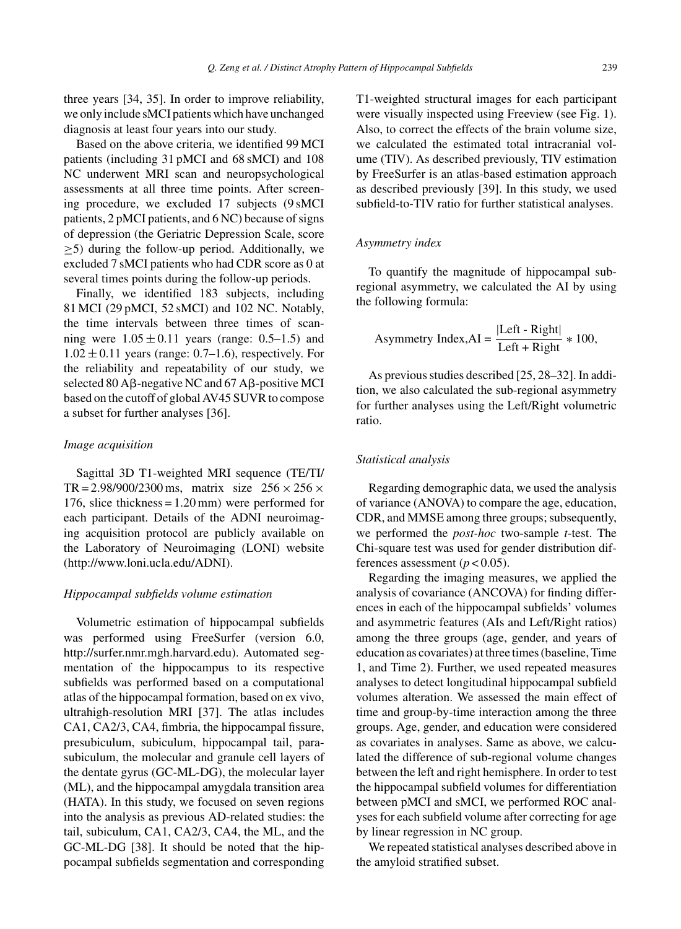three years [34, 35]. In order to improve reliability, we only include sMCI patients which have unchanged diagnosis at least four years into our study.

Based on the above criteria, we identified 99 MCI patients (including 31 pMCI and 68 sMCI) and 108 NC underwent MRI scan and neuropsychological assessments at all three time points. After screening procedure, we excluded 17 subjects (9 sMCI patients, 2 pMCI patients, and 6 NC) because of signs of depression (the Geriatric Depression Scale, score  $\geq$ 5) during the follow-up period. Additionally, we excluded 7 sMCI patients who had CDR score as 0 at several times points during the follow-up periods.

Finally, we identified 183 subjects, including 81 MCI (29 pMCI, 52 sMCI) and 102 NC. Notably, the time intervals between three times of scanning were  $1.05 \pm 0.11$  years (range: 0.5–1.5) and  $1.02 \pm 0.11$  years (range: 0.7–1.6), respectively. For the reliability and repeatability of our study, we selected 80 Aß-negative NC and 67 Aß-positive MCI based on the cutoff of global AV45 SUVR to compose a subset for further analyses [36].

## *Image acquisition*

Sagittal 3D T1-weighted MRI sequence (TE/TI/ TR = 2.98/900/2300 ms, matrix size  $256 \times 256 \times$ 176, slice thickness = 1.20 mm) were performed for each participant. Details of the ADNI neuroimaging acquisition protocol are publicly available on the Laboratory of Neuroimaging (LONI) website [\(http://www.loni.ucla.edu/ADNI\)](http://www.loni.ucla.edu/ADNI).

#### *Hippocampal subfields volume estimation*

Volumetric estimation of hippocampal subfields was performed using FreeSurfer (version 6.0, <http://surfer.nmr.mgh.harvard.edu>). Automated segmentation of the hippocampus to its respective subfields was performed based on a computational atlas of the hippocampal formation, based on ex vivo, ultrahigh-resolution MRI [37]. The atlas includes CA1, CA2/3, CA4, fimbria, the hippocampal fissure, presubiculum, subiculum, hippocampal tail, parasubiculum, the molecular and granule cell layers of the dentate gyrus (GC-ML-DG), the molecular layer (ML), and the hippocampal amygdala transition area (HATA). In this study, we focused on seven regions into the analysis as previous AD-related studies: the tail, subiculum, CA1, CA2/3, CA4, the ML, and the GC-ML-DG [38]. It should be noted that the hippocampal subfields segmentation and corresponding

T1-weighted structural images for each participant were visually inspected using Freeview (see Fig. 1). Also, to correct the effects of the brain volume size, we calculated the estimated total intracranial volume (TIV). As described previously, TIV estimation by FreeSurfer is an atlas-based estimation approach as described previously [39]. In this study, we used subfield-to-TIV ratio for further statistical analyses.

## *Asymmetry index*

To quantify the magnitude of hippocampal subregional asymmetry, we calculated the AI by using the following formula:

Asymmetry Index, AI = 
$$
\frac{|Left - Right|}{Left + Right} * 100,
$$

As previous studies described [25, 28–32]. In addition, we also calculated the sub-regional asymmetry for further analyses using the Left/Right volumetric ratio.

# *Statistical analysis*

Regarding demographic data, we used the analysis of variance (ANOVA) to compare the age, education, CDR, and MMSE among three groups; subsequently, we performed the *post-hoc* two-sample *t*-test. The Chi-square test was used for gender distribution differences assessment  $(p < 0.05)$ .

Regarding the imaging measures, we applied the analysis of covariance (ANCOVA) for finding differences in each of the hippocampal subfields' volumes and asymmetric features (AIs and Left/Right ratios) among the three groups (age, gender, and years of education as covariates) at three times (baseline, Time 1, and Time 2). Further, we used repeated measures analyses to detect longitudinal hippocampal subfield volumes alteration. We assessed the main effect of time and group-by-time interaction among the three groups. Age, gender, and education were considered as covariates in analyses. Same as above, we calculated the difference of sub-regional volume changes between the left and right hemisphere. In order to test the hippocampal subfield volumes for differentiation between pMCI and sMCI, we performed ROC analyses for each subfield volume after correcting for age by linear regression in NC group.

We repeated statistical analyses described above in the amyloid stratified subset.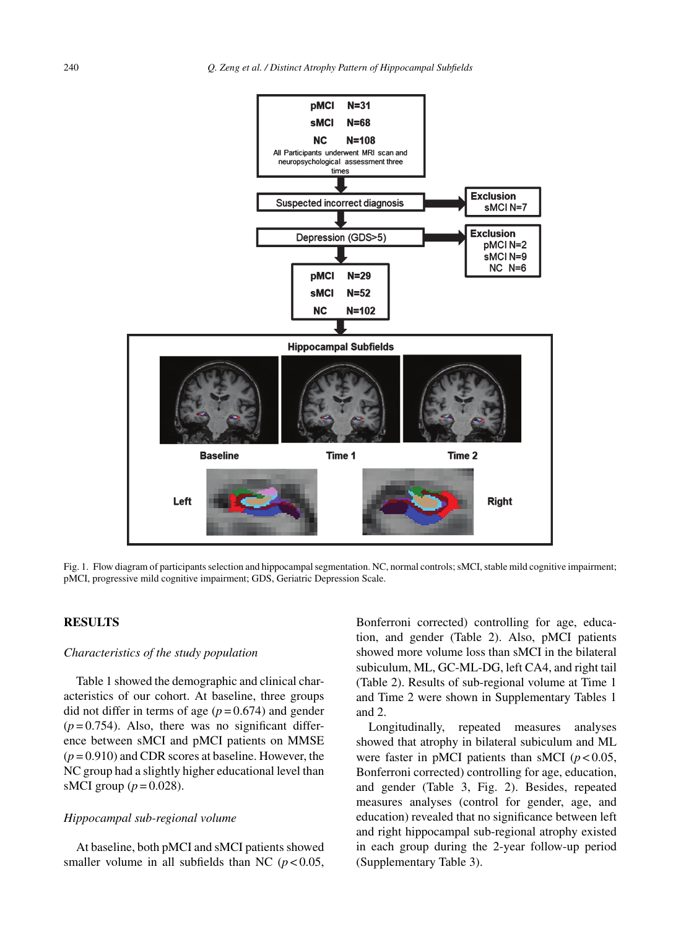

Fig. 1. Flow diagram of participants selection and hippocampal segmentation. NC, normal controls; sMCI, stable mild cognitive impairment; pMCI, progressive mild cognitive impairment; GDS, Geriatric Depression Scale.

# **RESULTS**

#### *Characteristics of the study population*

Table 1 showed the demographic and clinical characteristics of our cohort. At baseline, three groups did not differ in terms of age  $(p=0.674)$  and gender  $(p=0.754)$ . Also, there was no significant difference between sMCI and pMCI patients on MMSE (*p* = 0.910) and CDR scores at baseline. However, the NC group had a slightly higher educational level than sMCI group ( $p = 0.028$ ).

# *Hippocampal sub-regional volume*

At baseline, both pMCI and sMCI patients showed smaller volume in all subfields than NC  $(p<0.05$ , Bonferroni corrected) controlling for age, education, and gender (Table 2). Also, pMCI patients showed more volume loss than sMCI in the bilateral subiculum, ML, GC-ML-DG, left CA4, and right tail (Table 2). Results of sub-regional volume at Time 1 and Time 2 were shown in Supplementary Tables 1 and 2.

Longitudinally, repeated measures analyses showed that atrophy in bilateral subiculum and ML were faster in pMCI patients than sMCI  $(p < 0.05$ , Bonferroni corrected) controlling for age, education, and gender (Table 3, Fig. 2). Besides, repeated measures analyses (control for gender, age, and education) revealed that no significance between left and right hippocampal sub-regional atrophy existed in each group during the 2-year follow-up period (Supplementary Table 3).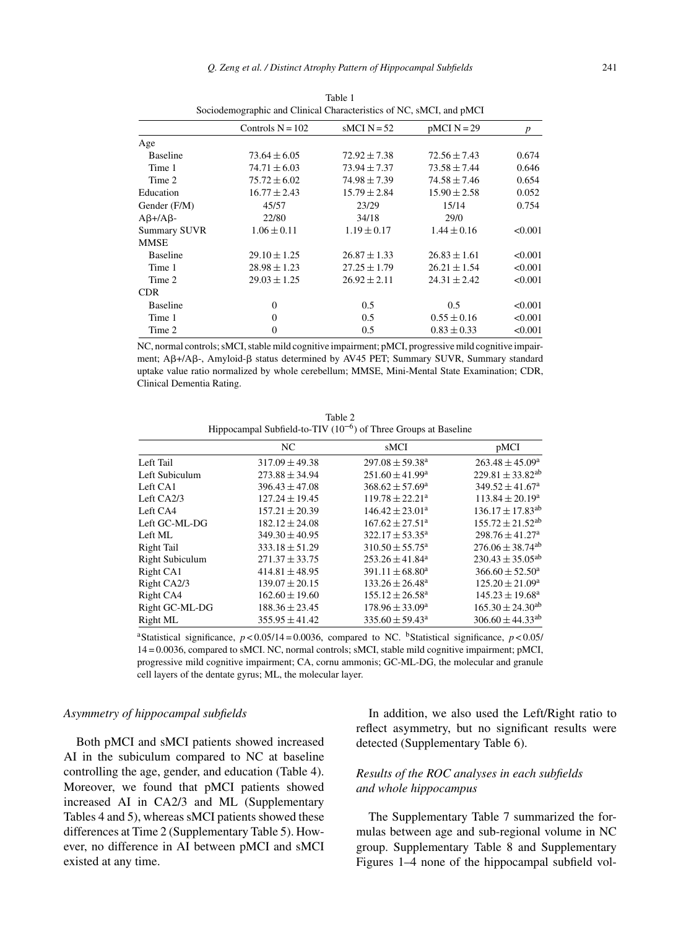#### *Q. Zeng et al. / Distinct Atrophy Pattern of Hippocampal Subfields* 241

|                      | Controls $N = 102$ | $sMCI N = 52$    | $pMCI N = 29$    | p       |
|----------------------|--------------------|------------------|------------------|---------|
| Age                  |                    |                  |                  |         |
| <b>Baseline</b>      | $73.64 \pm 6.05$   | $72.92 \pm 7.38$ | $72.56 \pm 7.43$ | 0.674   |
| Time 1               | $74.71 \pm 6.03$   | $73.94 \pm 7.37$ | $73.58 \pm 7.44$ | 0.646   |
| Time 2               | $75.72 \pm 6.02$   | $74.98 \pm 7.39$ | $74.58 \pm 7.46$ | 0.654   |
| Education            | $16.77 \pm 2.43$   | $15.79 \pm 2.84$ | $15.90 \pm 2.58$ | 0.052   |
| Gender (F/M)         | 45/57              | 23/29            | 15/14            | 0.754   |
| $A\beta + /A\beta -$ | 22/80              | 34/18            | 29/0             |         |
| <b>Summary SUVR</b>  | $1.06 \pm 0.11$    | $1.19 \pm 0.17$  | $1.44 \pm 0.16$  | < 0.001 |
| MMSE                 |                    |                  |                  |         |
| <b>Baseline</b>      | $29.10 \pm 1.25$   | $26.87 \pm 1.33$ | $26.83 \pm 1.61$ | < 0.001 |
| Time 1               | $28.98 \pm 1.23$   | $27.25 \pm 1.79$ | $26.21 \pm 1.54$ | < 0.001 |
| Time 2               | $29.03 \pm 1.25$   | $26.92 \pm 2.11$ | $24.31 \pm 2.42$ | < 0.001 |
| <b>CDR</b>           |                    |                  |                  |         |
| <b>Baseline</b>      | $\theta$           | 0.5              | 0.5              | < 0.001 |
| Time 1               | $\theta$           | 0.5              | $0.55 \pm 0.16$  | < 0.001 |
| Time 2               | 0                  | 0.5              | $0.83 \pm 0.33$  | < 0.001 |

Table 1<br>Characteristics of NC sMCI and pMCI  $Sociodomec$ <sub>r</sub> characteristics of  $C<sub>binical</sub>$ 

NC, normal controls; sMCI, stable mild cognitive impairment; pMCI, progressive mild cognitive impairment; A $\beta$ +/A $\beta$ -, Amyloid- $\beta$  status determined by AV45 PET; Summary SUVR, Summary standard uptake value ratio normalized by whole cerebellum; MMSE, Mini-Mental State Examination; CDR, Clinical Dementia Rating.

Table 2 Hippocampal Subfield-to-TIV  $(10^{-6})$  of Three Groups at Baseline

|                 | NC                 | sMCI                       | pMCI                             |
|-----------------|--------------------|----------------------------|----------------------------------|
| Left Tail       | $317.09 \pm 49.38$ | $297.08 \pm 59.38^{\circ}$ | $263.48 \pm 45.09^a$             |
| Left Subiculum  | $273.88 \pm 34.94$ | $251.60 \pm 41.99^a$       | $229.81 \pm 33.82^{ab}$          |
| Left CA1        | $396.43 \pm 47.08$ | $368.62 \pm 57.69^{\circ}$ | $349.52 \pm 41.67$ <sup>a</sup>  |
| Left CA2/3      | $127.24 \pm 19.45$ | $119.78 \pm 22.21^a$       | $113.84 \pm 20.19^a$             |
| Left CA4        | $157.21 \pm 20.39$ | $146.42 \pm 23.01^a$       | $136.17 \pm 17.83$ <sup>ab</sup> |
| Left GC-ML-DG   | $182.12 \pm 24.08$ | $167.62 \pm 27.51^a$       | $155.72 \pm 21.52$ <sup>ab</sup> |
| Left ML         | $349.30 \pm 40.95$ | $322.17 \pm 53.35^a$       | $298.76 \pm 41.27^a$             |
| Right Tail      | $333.18 \pm 51.29$ | $310.50 \pm 55.75^{\circ}$ | $276.06 \pm 38.74^{ab}$          |
| Right Subiculum | $271.37 \pm 33.75$ | $253.26 \pm 41.84^a$       | $230.43 \pm 35.05^{ab}$          |
| Right CA1       | $414.81 \pm 48.95$ | $391.11 \pm 68.80^a$       | $366.60 \pm 52.50^a$             |
| Right CA2/3     | $139.07 \pm 20.15$ | $133.26 \pm 26.48^a$       | $125.20 \pm 21.09^a$             |
| Right CA4       | $162.60 \pm 19.60$ | $155.12 \pm 26.58^a$       | $145.23 \pm 19.68^a$             |
| Right GC-ML-DG  | $188.36 \pm 23.45$ | $178.96 \pm 33.09^a$       | $165.30 \pm 24.30$ <sup>ab</sup> |
| Right ML        | $355.95 \pm 41.42$ | $335.60 \pm 59.43^{\circ}$ | $306.60 \pm 44.33$ <sup>ab</sup> |

<sup>&</sup>lt;sup>a</sup>Statistical significance,  $p < 0.05/14 = 0.0036$ , compared to NC. <sup>b</sup>Statistical significance,  $p < 0.05/14 = 0.0036$ , 14 = 0.0036, compared to sMCI. NC, normal controls; sMCI, stable mild cognitive impairment; pMCI, progressive mild cognitive impairment; CA, cornu ammonis; GC-ML-DG, the molecular and granule cell layers of the dentate gyrus; ML, the molecular layer.

# *Asymmetry of hippocampal subfields*

Both pMCI and sMCI patients showed increased AI in the subiculum compared to NC at baseline controlling the age, gender, and education (Table 4). Moreover, we found that pMCI patients showed increased AI in CA2/3 and ML (Supplementary Tables 4 and 5), whereas sMCI patients showed these differences at Time 2 (Supplementary Table 5). However, no difference in AI between pMCI and sMCI existed at any time.

In addition, we also used the Left/Right ratio to reflect asymmetry, but no significant results were detected (Supplementary Table 6).

# *Results of the ROC analyses in each subfields and whole hippocampus*

The Supplementary Table 7 summarized the formulas between age and sub-regional volume in NC group. Supplementary Table 8 and Supplementary Figures 1–4 none of the hippocampal subfield vol-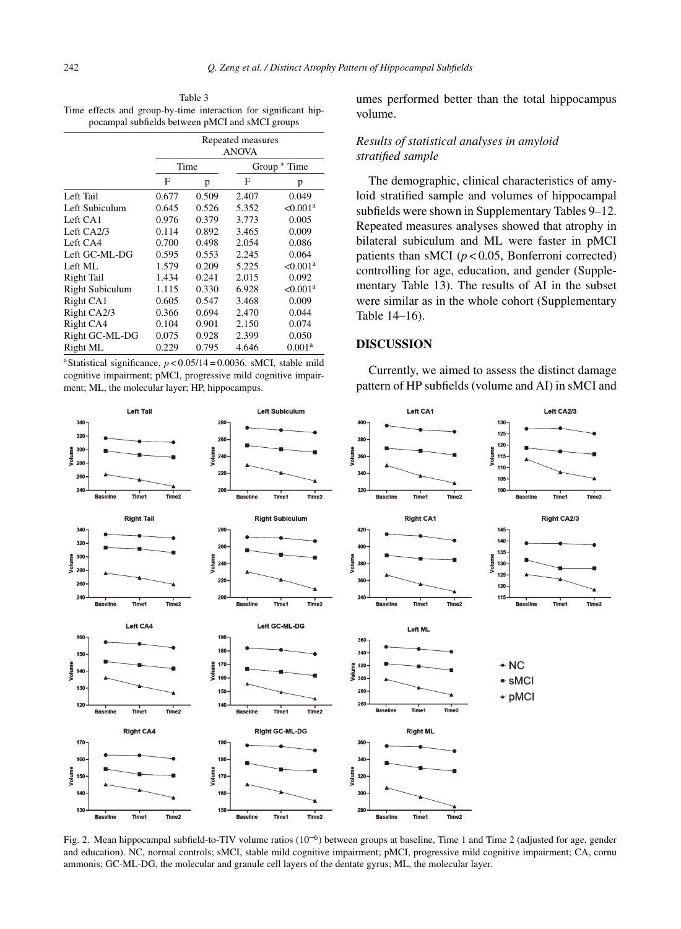Table 3 Time effects and group-by-time interaction for significant hippocampal subfields between pMCI and sMCI groups

|                        |       | Repeated measures<br><b>ANOVA</b> |       |                    |  |
|------------------------|-------|-----------------------------------|-------|--------------------|--|
|                        |       | Time                              |       | Group * Time       |  |
|                        | F     | p                                 | F     | p                  |  |
| Left Tail              | 0.677 | 0.509                             | 2.407 | 0.049              |  |
| Left Subiculum         | 0.645 | 0.526                             | 5.352 | $< 0.001^a$        |  |
| Left CA1               | 0.976 | 0.379                             | 3.773 | 0.005              |  |
| Left $CA2/3$           | 0.114 | 0.892                             | 3.465 | 0.009              |  |
| Left CA4               | 0.700 | 0.498                             | 2.054 | 0.086              |  |
| Left GC-ML-DG          | 0.595 | 0.553                             | 2.245 | 0.064              |  |
| Left ML                | 1.579 | 0.209                             | 5.225 | $< 0.001^a$        |  |
| <b>Right Tail</b>      | 1.434 | 0.241                             | 2.015 | 0.092              |  |
| <b>Right Subiculum</b> | 1.115 | 0.330                             | 6.928 | $< 0.001^a$        |  |
| Right CA1              | 0.605 | 0.547                             | 3.468 | 0.009              |  |
| Right CA2/3            | 0.366 | 0.694                             | 2.470 | 0.044              |  |
| Right CA4              | 0.104 | 0.901                             | 2.150 | 0.074              |  |
| Right GC-ML-DG         | 0.075 | 0.928                             | 2.399 | 0.050              |  |
| Right ML               | 0.229 | 0.795                             | 4.646 | 0.001 <sup>a</sup> |  |

<sup>a</sup>Statistical significance,  $p < 0.05/14 = 0.0036$ . sMCI, stable mild cognitive impairment; pMCI, progressive mild cognitive impairment; ML, the molecular layer; HP, hippocampus.

umes performed better than the total hippocampus volume.

# *Results of statistical analyses in amyloid stratified sample*

The demographic, clinical characteristics of amyloid stratified sample and volumes of hippocampal subfields were shown in Supplementary Tables 9–12. Repeated measures analyses showed that atrophy in bilateral subiculum and ML were faster in pMCI patients than sMCI  $(p < 0.05$ , Bonferroni corrected) controlling for age, education, and gender (Supplementary Table 13). The results of AI in the subset were similar as in the whole cohort (Supplementary Table 14–16).

# **DISCUSSION**

Currently, we aimed to assess the distinct damage pattern of HP subfields (volume and AI) in sMCI and



Fig. 2. Mean hippocampal subfield-to-TIV volume ratios  $(10^{-6})$  between groups at baseline, Time 1 and Time 2 (adjusted for age, gender and education). NC, normal controls; sMCI, stable mild cognitive impairment; pMCI, progressive mild cognitive impairment; CA, cornu ammonis; GC-ML-DG, the molecular and granule cell layers of the dentate gyrus; ML, the molecular layer.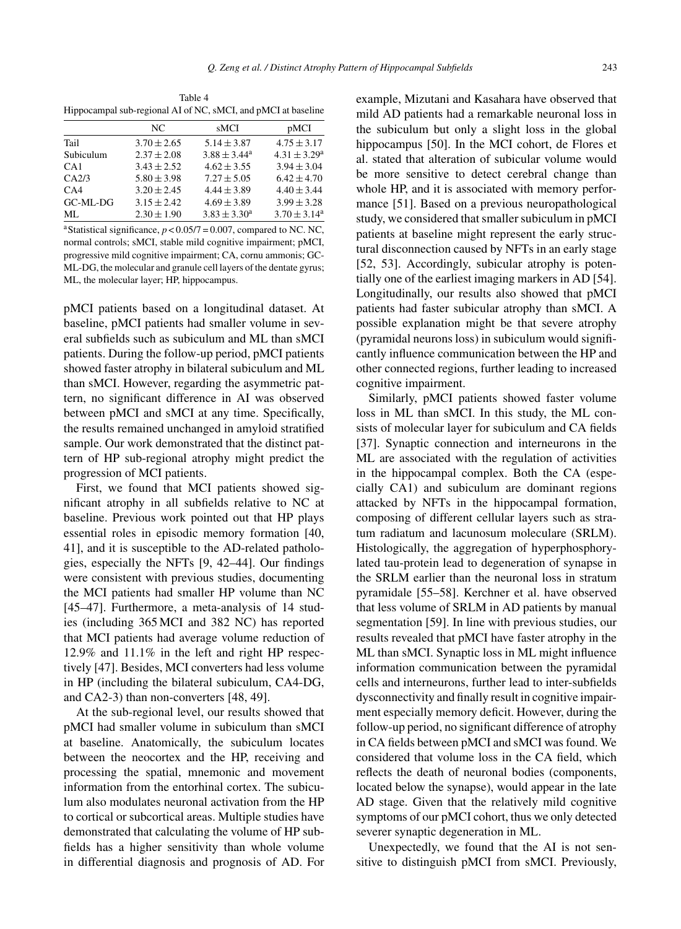Table 4 Hippocampal sub-regional AI of NC, sMCI, and pMCI at baseline

|                 | NC              | sMCI              | pMCI                    |
|-----------------|-----------------|-------------------|-------------------------|
| Tail            | $3.70 \pm 2.65$ | $5.14 \pm 3.87$   | $4.75 \pm 3.17$         |
| Subiculum       | $2.37 + 2.08$   | $3.88 \pm 3.44^a$ | $4.31 \pm 3.29^{\circ}$ |
| CA <sub>1</sub> | $3.43 + 2.52$   | $4.62 + 3.55$     | $3.94 \pm 3.04$         |
| CA2/3           | $5.80 \pm 3.98$ | $7.27 + 5.05$     | $6.42 \pm 4.70$         |
| CA4             | $3.20 \pm 2.45$ | $4.44 \pm 3.89$   | $4.40 \pm 3.44$         |
| GC-ML-DG        | $3.15 \pm 2.42$ | $4.69 \pm 3.89$   | $3.99 \pm 3.28$         |
| ML              | $2.30 \pm 1.90$ | $3.83 \pm 3.30^a$ | $3.70 \pm 3.14^{\circ}$ |
|                 |                 |                   |                         |

<sup>a</sup>Statistical significance,  $p < 0.05/7 = 0.007$ , compared to NC. NC, normal controls; sMCI, stable mild cognitive impairment; pMCI, progressive mild cognitive impairment; CA, cornu ammonis; GC-ML-DG, the molecular and granule cell layers of the dentate gyrus; ML, the molecular layer; HP, hippocampus.

pMCI patients based on a longitudinal dataset. At baseline, pMCI patients had smaller volume in several subfields such as subiculum and ML than sMCI patients. During the follow-up period, pMCI patients showed faster atrophy in bilateral subiculum and ML than sMCI. However, regarding the asymmetric pattern, no significant difference in AI was observed between pMCI and sMCI at any time. Specifically, the results remained unchanged in amyloid stratified sample. Our work demonstrated that the distinct pattern of HP sub-regional atrophy might predict the progression of MCI patients.

First, we found that MCI patients showed significant atrophy in all subfields relative to NC at baseline. Previous work pointed out that HP plays essential roles in episodic memory formation [40, 41], and it is susceptible to the AD-related pathologies, especially the NFTs [9, 42–44]. Our findings were consistent with previous studies, documenting the MCI patients had smaller HP volume than NC [45–47]. Furthermore, a meta-analysis of 14 studies (including 365 MCI and 382 NC) has reported that MCI patients had average volume reduction of 12.9% and 11.1% in the left and right HP respectively [47]. Besides, MCI converters had less volume in HP (including the bilateral subiculum, CA4-DG, and CA2-3) than non-converters [48, 49].

At the sub-regional level, our results showed that pMCI had smaller volume in subiculum than sMCI at baseline. Anatomically, the subiculum locates between the neocortex and the HP, receiving and processing the spatial, mnemonic and movement information from the entorhinal cortex. The subiculum also modulates neuronal activation from the HP to cortical or subcortical areas. Multiple studies have demonstrated that calculating the volume of HP subfields has a higher sensitivity than whole volume in differential diagnosis and prognosis of AD. For example, Mizutani and Kasahara have observed that mild AD patients had a remarkable neuronal loss in the subiculum but only a slight loss in the global hippocampus [50]. In the MCI cohort, de Flores et al. stated that alteration of subicular volume would be more sensitive to detect cerebral change than whole HP, and it is associated with memory performance [51]. Based on a previous neuropathological study, we considered that smaller subiculum in pMCI patients at baseline might represent the early structural disconnection caused by NFTs in an early stage [52, 53]. Accordingly, subicular atrophy is potentially one of the earliest imaging markers in AD [54]. Longitudinally, our results also showed that pMCI patients had faster subicular atrophy than sMCI. A possible explanation might be that severe atrophy (pyramidal neurons loss) in subiculum would significantly influence communication between the HP and other connected regions, further leading to increased cognitive impairment.

Similarly, pMCI patients showed faster volume loss in ML than sMCI. In this study, the ML consists of molecular layer for subiculum and CA fields [37]. Synaptic connection and interneurons in the ML are associated with the regulation of activities in the hippocampal complex. Both the CA (especially CA1) and subiculum are dominant regions attacked by NFTs in the hippocampal formation, composing of different cellular layers such as stratum radiatum and lacunosum moleculare (SRLM). Histologically, the aggregation of hyperphosphorylated tau-protein lead to degeneration of synapse in the SRLM earlier than the neuronal loss in stratum pyramidale [55–58]. Kerchner et al. have observed that less volume of SRLM in AD patients by manual segmentation [59]. In line with previous studies, our results revealed that pMCI have faster atrophy in the ML than sMCI. Synaptic loss in ML might influence information communication between the pyramidal cells and interneurons, further lead to inter-subfields dysconnectivity and finally result in cognitive impairment especially memory deficit. However, during the follow-up period, no significant difference of atrophy in CA fields between pMCI and sMCI was found. We considered that volume loss in the CA field, which reflects the death of neuronal bodies (components, located below the synapse), would appear in the late AD stage. Given that the relatively mild cognitive symptoms of our pMCI cohort, thus we only detected severer synaptic degeneration in ML.

Unexpectedly, we found that the AI is not sensitive to distinguish pMCI from sMCI. Previously,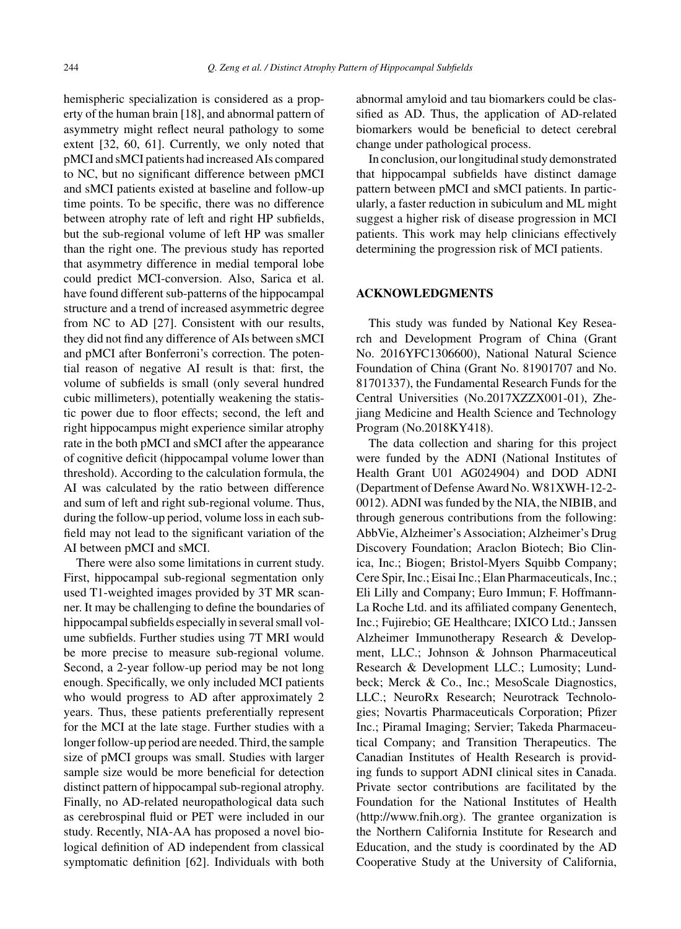hemispheric specialization is considered as a property of the human brain [18], and abnormal pattern of asymmetry might reflect neural pathology to some extent [32, 60, 61]. Currently, we only noted that pMCI and sMCI patients had increased AIs compared to NC, but no significant difference between pMCI and sMCI patients existed at baseline and follow-up time points. To be specific, there was no difference between atrophy rate of left and right HP subfields, but the sub-regional volume of left HP was smaller than the right one. The previous study has reported that asymmetry difference in medial temporal lobe could predict MCI-conversion. Also, Sarica et al. have found different sub-patterns of the hippocampal structure and a trend of increased asymmetric degree from NC to AD [27]. Consistent with our results, they did not find any difference of AIs between sMCI and pMCI after Bonferroni's correction. The potential reason of negative AI result is that: first, the volume of subfields is small (only several hundred cubic millimeters), potentially weakening the statistic power due to floor effects; second, the left and right hippocampus might experience similar atrophy rate in the both pMCI and sMCI after the appearance of cognitive deficit (hippocampal volume lower than threshold). According to the calculation formula, the AI was calculated by the ratio between difference and sum of left and right sub-regional volume. Thus, during the follow-up period, volume loss in each subfield may not lead to the significant variation of the AI between pMCI and sMCI.

There were also some limitations in current study. First, hippocampal sub-regional segmentation only used T1-weighted images provided by 3T MR scanner. It may be challenging to define the boundaries of hippocampal subfields especially in several small volume subfields. Further studies using 7T MRI would be more precise to measure sub-regional volume. Second, a 2-year follow-up period may be not long enough. Specifically, we only included MCI patients who would progress to AD after approximately 2 years. Thus, these patients preferentially represent for the MCI at the late stage. Further studies with a longer follow-up period are needed. Third, the sample size of pMCI groups was small. Studies with larger sample size would be more beneficial for detection distinct pattern of hippocampal sub-regional atrophy. Finally, no AD-related neuropathological data such as cerebrospinal fluid or PET were included in our study. Recently, NIA-AA has proposed a novel biological definition of AD independent from classical symptomatic definition [62]. Individuals with both

abnormal amyloid and tau biomarkers could be classified as AD. Thus, the application of AD-related biomarkers would be beneficial to detect cerebral change under pathological process.

In conclusion, our longitudinal study demonstrated that hippocampal subfields have distinct damage pattern between pMCI and sMCI patients. In particularly, a faster reduction in subiculum and ML might suggest a higher risk of disease progression in MCI patients. This work may help clinicians effectively determining the progression risk of MCI patients.

# **ACKNOWLEDGMENTS**

This study was funded by National Key Research and Development Program of China (Grant No. 2016YFC1306600), National Natural Science Foundation of China (Grant No. 81901707 and No. 81701337), the Fundamental Research Funds for the Central Universities (No.2017XZZX001-01), Zhejiang Medicine and Health Science and Technology Program (No.2018KY418).

The data collection and sharing for this project were funded by the ADNI (National Institutes of Health Grant U01 AG024904) and DOD ADNI (Department of Defense Award No. W81XWH-12-2- 0012). ADNI was funded by the NIA, the NIBIB, and through generous contributions from the following: AbbVie, Alzheimer's Association; Alzheimer's Drug Discovery Foundation; Araclon Biotech; Bio Clinica, Inc.; Biogen; Bristol-Myers Squibb Company; Cere Spir, Inc.; Eisai Inc.; Elan Pharmaceuticals, Inc.; Eli Lilly and Company; Euro Immun; F. Hoffmann-La Roche Ltd. and its affiliated company Genentech, Inc.; Fujirebio; GE Healthcare; IXICO Ltd.; Janssen Alzheimer Immunotherapy Research & Development, LLC.; Johnson & Johnson Pharmaceutical Research & Development LLC.; Lumosity; Lundbeck; Merck & Co., Inc.; MesoScale Diagnostics, LLC.; NeuroRx Research; Neurotrack Technologies; Novartis Pharmaceuticals Corporation; Pfizer Inc.; Piramal Imaging; Servier; Takeda Pharmaceutical Company; and Transition Therapeutics. The Canadian Institutes of Health Research is providing funds to support ADNI clinical sites in Canada. Private sector contributions are facilitated by the Foundation for the National Institutes of Health [\(http://www.fnih.org](http://www.fnih.org)). The grantee organization is the Northern California Institute for Research and Education, and the study is coordinated by the AD Cooperative Study at the University of California,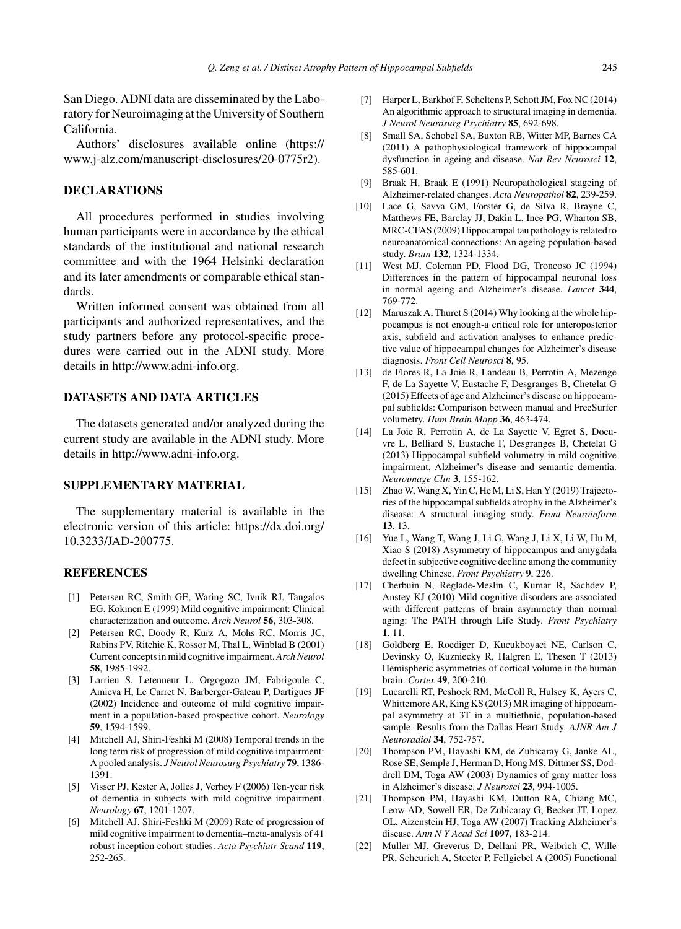San Diego. ADNI data are disseminated by the Laboratory for Neuroimaging at the University of Southern California.

Authors' disclosures available online (https:// www.j-alz.com/manuscript-disclosures/20-0775r2).

# **DECLARATIONS**

All procedures performed in studies involving human participants were in accordance by the ethical standards of the institutional and national research committee and with the 1964 Helsinki declaration and its later amendments or comparable ethical standards.

Written informed consent was obtained from all participants and authorized representatives, and the study partners before any protocol-specific procedures were carried out in the ADNI study. More details in<http://www.adni-info.org>.

# **DATASETS AND DATA ARTICLES**

The datasets generated and/or analyzed during the current study are available in the ADNI study. More details in<http://www.adni-info.org>.

# **SUPPLEMENTARY MATERIAL**

The supplementary material is available in the electronic version of this article: [https://dx.doi.org/](https://dx.doi.org/10.3233/JAD-200775) 10.3233/JAD-200775.

#### **REFERENCES**

- [1] Petersen RC, Smith GE, Waring SC, Ivnik RJ, Tangalos EG, Kokmen E (1999) Mild cognitive impairment: Clinical characterization and outcome. *Arch Neurol* **56**, 303-308.
- [2] Petersen RC, Doody R, Kurz A, Mohs RC, Morris JC, Rabins PV, Ritchie K, Rossor M, Thal L, Winblad B (2001) Current concepts in mild cognitive impairment. *Arch Neurol* **58**, 1985-1992.
- [3] Larrieu S, Letenneur L, Orgogozo JM, Fabrigoule C, Amieva H, Le Carret N, Barberger-Gateau P, Dartigues JF (2002) Incidence and outcome of mild cognitive impairment in a population-based prospective cohort. *Neurology* **59**, 1594-1599.
- [4] Mitchell AJ, Shiri-Feshki M (2008) Temporal trends in the long term risk of progression of mild cognitive impairment: A pooled analysis. *J Neurol Neurosurg Psychiatry* **79**, 1386- 1391.
- [5] Visser PJ, Kester A, Jolles J, Verhey F (2006) Ten-year risk of dementia in subjects with mild cognitive impairment. *Neurology* **67**, 1201-1207.
- [6] Mitchell AJ, Shiri-Feshki M (2009) Rate of progression of mild cognitive impairment to dementia–meta-analysis of 41 robust inception cohort studies. *Acta Psychiatr Scand* **119**, 252-265.
- [7] Harper L, Barkhof F, Scheltens P, Schott JM, Fox NC (2014) An algorithmic approach to structural imaging in dementia. *J Neurol Neurosurg Psychiatry* **85**, 692-698.
- [8] Small SA, Schobel SA, Buxton RB, Witter MP, Barnes CA [\(2011\)](https://www.j-alz.com/manuscript-disclosures/20-0775r2) [A](https://www.j-alz.com/manuscript-disclosures/20-0775r2) [pathophysiological](https://www.j-alz.com/manuscript-disclosures/20-0775r2) [framework](https://www.j-alz.com/manuscript-disclosures/20-0775r2) [of](https://www.j-alz.com/manuscript-disclosures/20-0775r2) [hip](https://www.j-alz.com/manuscript-disclosures/20-0775r2)pocampal dysfunction in ageing and disease. *Nat Rev Neurosci* **12**, 585-601.
- [9] Braak H, Braak E (1991) Neuropathological stageing of Alzheimer-related changes. *Acta Neuropathol* **82**, 239-259.
- [10] Lace G, Savva GM, Forster G, de Silva R, Brayne C, Matthews FE, Barclay JJ, Dakin L, Ince PG, Wharton SB, MRC-CFAS (2009) Hippocampal tau pathology is related to neuroanatomical connections: An ageing population-based study. *Brain* **132**, 1324-1334.
- [11] West MJ, Coleman PD, Flood DG, Troncoso JC (1994) Differences in the pattern of hippocampal neuronal loss in normal ageing and Alzheimer's disease. *Lancet* **344**, 769-772.
- [12] Maruszak A, Thuret S (2014) Why looking at the whole hippocampus is not enough-a critical role for anteroposterior axis, subfield and activation analyses to enhance predictive value of hippocampal changes for Alzheimer's disease diagnosis. *Front Cell Neurosci* **8**, 95.
- [13] de Flores R, La Joie R, Landeau B, Perrotin A, Mezenge F, de La Sayette V, Eustache F, Desgranges B, Chetelat G (2015) Effects of age and Alzheimer's disease on hippocampal subfields: Comparison between manual and FreeSurfer volumetry. *Hum Brain Mapp* **36**, 463-474.
- [14] La Joie R, Perrotin A, de La Sayette V, Egret S, Doeuvre L, Belliard S, Eustache F, Desgranges B, Chetelat G (2013) Hippocampal subfield volumetry in mild cognitive impairment, Alzheimer's disease and semantic dementia. *Neuroimage Clin* **3**, 155-162.
- [15] Zhao W, Wang X, Yin C, He M, Li S, Han Y (2019) Trajectories of the hippocampal subfields atrophy in the Alzheimer's disease: A structural imaging study. *Front Neuroinform* **13**, 13.
- [16] Yue L, Wang T, Wang J, Li G, Wang J, Li X, Li W, Hu M, Xiao S (2018) Asymmetry of hippocampus and amygdala defect in subjective cognitive decline among the community dwelling Chinese. *Front Psychiatry* **9**, 226.
- [17] Cherbuin N, Reglade-Meslin C, Kumar R, Sachdev P, Anstey KJ (2010) Mild cognitive disorders are associated with different patterns of brain asymmetry than normal aging: The PATH through Life Study. *Front Psychiatry* **1**, 11.
- [18] Goldberg E, Roediger D, Kucukboyaci NE, Carlson C, Devinsky O, Kuzniecky R, Halgren E, Thesen T (2013) Hemispheric asymmetries of cortical volume in the human brain. *Cortex* **49**, 200-210.
- [19] Lucarelli RT, Peshock RM, McColl R, Hulsey K, Ayers C, Whittemore AR, King KS (2013) MR imaging of hippocampal asymmetry at 3T in a multiethnic, population-based sample: Results from the Dallas Heart Study. *AJNR Am J Neuroradiol* **34**, 752-757.
- [20] Thompson PM, Hayashi KM, de Zubicaray G, Janke AL, Rose SE, Semple J, Herman D, Hong MS, Dittmer SS, Doddrell DM, Toga AW (2003) Dynamics of gray matter loss in Alzheimer's disease. *J Neurosci* **23**, 994-1005.
- [21] Thompson PM, Hayashi KM, Dutton RA, Chiang MC, Leow AD, Sowell ER, De Zubicaray G, Becker JT, Lopez OL, Aizenstein HJ, Toga AW (2007) Tracking Alzheimer's disease. *Ann N Y Acad Sci* **1097**, 183-214.
- [22] Muller MJ, Greverus D, Dellani PR, Weibrich C, Wille PR, Scheurich A, Stoeter P, Fellgiebel A (2005) Functional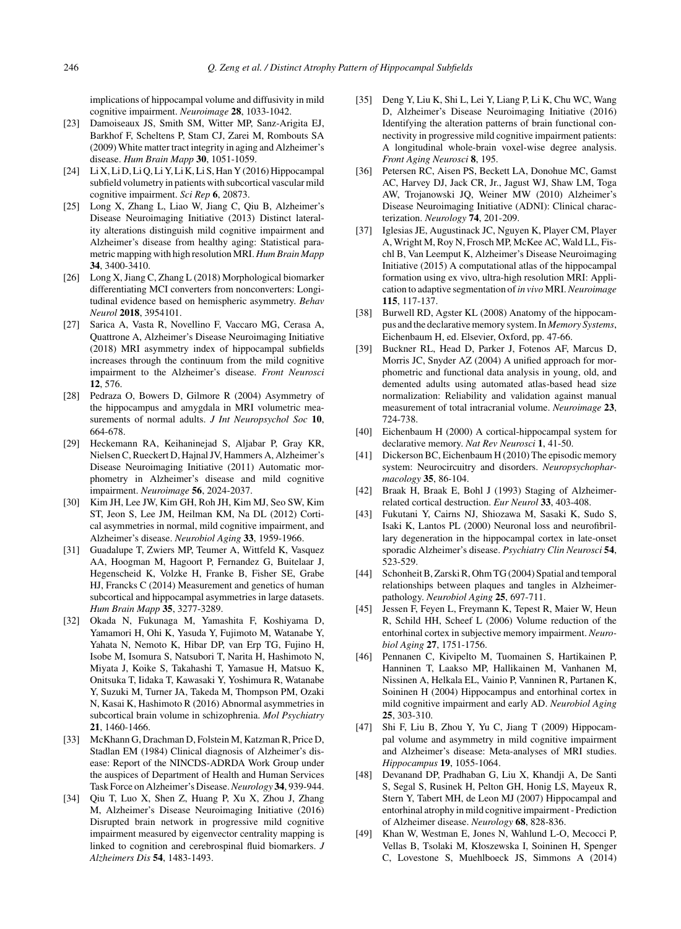implications of hippocampal volume and diffusivity in mild cognitive impairment. *Neuroimage* **28**, 1033-1042.

- [23] Damoiseaux JS, Smith SM, Witter MP, Sanz-Arigita EJ, Barkhof F, Scheltens P, Stam CJ, Zarei M, Rombouts SA (2009) White matter tract integrity in aging and Alzheimer's disease. *Hum Brain Mapp* **30**, 1051-1059.
- [24] Li X, Li D, Li Q, Li Y, Li K, Li S, Han Y (2016) Hippocampal subfield volumetry in patients with subcortical vascular mild cognitive impairment. *Sci Rep* **6**, 20873.
- [25] Long X, Zhang L, Liao W, Jiang C, Qiu B, Alzheimer's Disease Neuroimaging Initiative (2013) Distinct laterality alterations distinguish mild cognitive impairment and Alzheimer's disease from healthy aging: Statistical parametric mapping with high resolution MRI. *Hum Brain Mapp* **34**, 3400-3410.
- [26] Long X, Jiang C, Zhang L (2018) Morphological biomarker differentiating MCI converters from nonconverters: Longitudinal evidence based on hemispheric asymmetry. *Behav Neurol* **2018**, 3954101.
- [27] Sarica A, Vasta R, Novellino F, Vaccaro MG, Cerasa A, Quattrone A, Alzheimer's Disease Neuroimaging Initiative (2018) MRI asymmetry index of hippocampal subfields increases through the continuum from the mild cognitive impairment to the Alzheimer's disease. *Front Neurosci* **12**, 576.
- [28] Pedraza O, Bowers D, Gilmore R (2004) Asymmetry of the hippocampus and amygdala in MRI volumetric measurements of normal adults. *J Int Neuropsychol Soc* **10**, 664-678.
- [29] Heckemann RA, Keihaninejad S, Aljabar P, Gray KR, Nielsen C, Rueckert D, Hajnal JV, Hammers A, Alzheimer's Disease Neuroimaging Initiative (2011) Automatic morphometry in Alzheimer's disease and mild cognitive impairment. *Neuroimage* **56**, 2024-2037.
- [30] Kim JH, Lee JW, Kim GH, Roh JH, Kim MJ, Seo SW, Kim ST, Jeon S, Lee JM, Heilman KM, Na DL (2012) Cortical asymmetries in normal, mild cognitive impairment, and Alzheimer's disease. *Neurobiol Aging* **33**, 1959-1966.
- [31] Guadalupe T, Zwiers MP, Teumer A, Wittfeld K, Vasquez AA, Hoogman M, Hagoort P, Fernandez G, Buitelaar J, Hegenscheid K, Volzke H, Franke B, Fisher SE, Grabe HJ, Francks C (2014) Measurement and genetics of human subcortical and hippocampal asymmetries in large datasets. *Hum Brain Mapp* **35**, 3277-3289.
- [32] Okada N, Fukunaga M, Yamashita F, Koshiyama D, Yamamori H, Ohi K, Yasuda Y, Fujimoto M, Watanabe Y, Yahata N, Nemoto K, Hibar DP, van Erp TG, Fujino H, Isobe M, Isomura S, Natsubori T, Narita H, Hashimoto N, Miyata J, Koike S, Takahashi T, Yamasue H, Matsuo K, Onitsuka T, Iidaka T, Kawasaki Y, Yoshimura R, Watanabe Y, Suzuki M, Turner JA, Takeda M, Thompson PM, Ozaki N, Kasai K, Hashimoto R (2016) Abnormal asymmetries in subcortical brain volume in schizophrenia. *Mol Psychiatry* **21**, 1460-1466.
- [33] McKhann G, Drachman D, Folstein M, Katzman R, Price D, Stadlan EM (1984) Clinical diagnosis of Alzheimer's disease: Report of the NINCDS-ADRDA Work Group under the auspices of Department of Health and Human Services Task Force on Alzheimer's Disease.*Neurology* **34**, 939-944.
- [34] Qiu T, Luo X, Shen Z, Huang P, Xu X, Zhou J, Zhang M, Alzheimer's Disease Neuroimaging Initiative (2016) Disrupted brain network in progressive mild cognitive impairment measured by eigenvector centrality mapping is linked to cognition and cerebrospinal fluid biomarkers. *J Alzheimers Dis* **54**, 1483-1493.
- [35] Deng Y, Liu K, Shi L, Lei Y, Liang P, Li K, Chu WC, Wang D, Alzheimer's Disease Neuroimaging Initiative (2016) Identifying the alteration patterns of brain functional connectivity in progressive mild cognitive impairment patients: A longitudinal whole-brain voxel-wise degree analysis. *Front Aging Neurosci* **8**, 195.
- [36] Petersen RC, Aisen PS, Beckett LA, Donohue MC, Gamst AC, Harvey DJ, Jack CR, Jr., Jagust WJ, Shaw LM, Toga AW, Trojanowski JQ, Weiner MW (2010) Alzheimer's Disease Neuroimaging Initiative (ADNI): Clinical characterization. *Neurology* **74**, 201-209.
- [37] Iglesias JE, Augustinack JC, Nguyen K, Player CM, Player A, Wright M, Roy N, Frosch MP, McKee AC, Wald LL, Fischl B, Van Leemput K, Alzheimer's Disease Neuroimaging Initiative (2015) A computational atlas of the hippocampal formation using ex vivo, ultra-high resolution MRI: Application to adaptive segmentation of*in vivo* MRI.*Neuroimage* **115**, 117-137.
- [38] Burwell RD, Agster KL (2008) Anatomy of the hippocampus and the declarative memory system. In *Memory Systems*, Eichenbaum H, ed. Elsevier, Oxford, pp. 47-66.
- [39] Buckner RL, Head D, Parker J, Fotenos AF, Marcus D, Morris JC, Snyder AZ (2004) A unified approach for morphometric and functional data analysis in young, old, and demented adults using automated atlas-based head size normalization: Reliability and validation against manual measurement of total intracranial volume. *Neuroimage* **23**, 724-738.
- [40] Eichenbaum H (2000) A cortical-hippocampal system for declarative memory. *Nat Rev Neurosci* **1**, 41-50.
- [41] Dickerson BC, Eichenbaum H (2010) The episodic memory system: Neurocircuitry and disorders. *Neuropsychopharmacology* **35**, 86-104.
- [42] Braak H, Braak E, Bohl J (1993) Staging of Alzheimerrelated cortical destruction. *Eur Neurol* **33**, 403-408.
- [43] Fukutani Y, Cairns NJ, Shiozawa M, Sasaki K, Sudo S, Isaki K, Lantos PL (2000) Neuronal loss and neurofibrillary degeneration in the hippocampal cortex in late-onset sporadic Alzheimer's disease. *Psychiatry Clin Neurosci* **54**, 523-529.
- [44] Schonheit B, Zarski R, Ohm TG (2004) Spatial and temporal relationships between plaques and tangles in Alzheimerpathology. *Neurobiol Aging* **25**, 697-711.
- [45] Jessen F, Feyen L, Freymann K, Tepest R, Maier W, Heun R, Schild HH, Scheef L (2006) Volume reduction of the entorhinal cortex in subjective memory impairment. *Neurobiol Aging* **27**, 1751-1756.
- [46] Pennanen C, Kivipelto M, Tuomainen S, Hartikainen P, Hanninen T, Laakso MP, Hallikainen M, Vanhanen M, Nissinen A, Helkala EL, Vainio P, Vanninen R, Partanen K, Soininen H (2004) Hippocampus and entorhinal cortex in mild cognitive impairment and early AD. *Neurobiol Aging* **25**, 303-310.
- [47] Shi F, Liu B, Zhou Y, Yu C, Jiang T (2009) Hippocampal volume and asymmetry in mild cognitive impairment and Alzheimer's disease: Meta-analyses of MRI studies. *Hippocampus* **19**, 1055-1064.
- [48] Devanand DP, Pradhaban G, Liu X, Khandji A, De Santi S, Segal S, Rusinek H, Pelton GH, Honig LS, Mayeux R, Stern Y, Tabert MH, de Leon MJ (2007) Hippocampal and entorhinal atrophy in mild cognitive impairment - Prediction of Alzheimer disease. *Neurology* **68**, 828-836.
- [49] Khan W, Westman E, Jones N, Wahlund L-O, Mecocci P, Vellas B, Tsolaki M, Kłoszewska I, Soininen H, Spenger C, Lovestone S, Muehlboeck JS, Simmons A (2014)